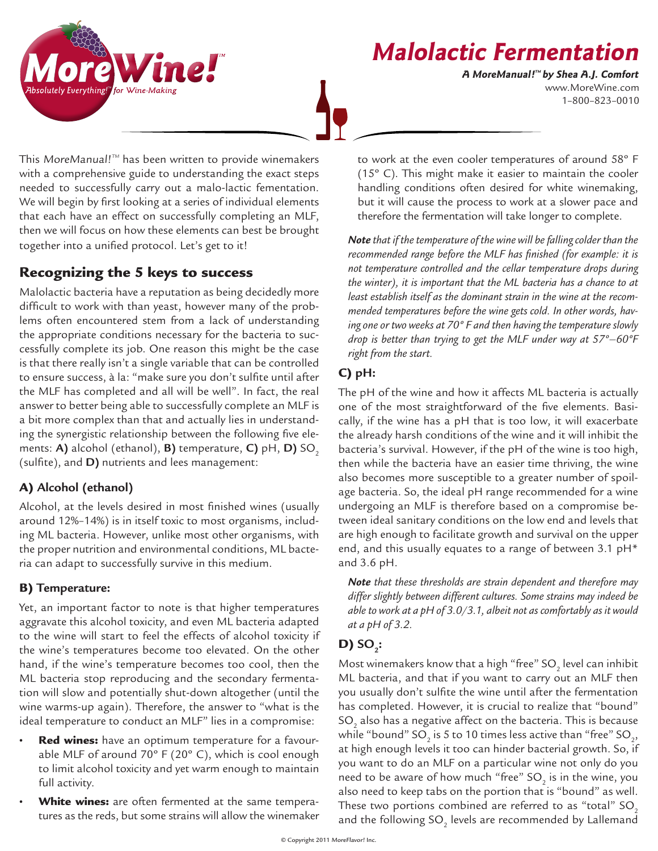



www.MoreWine.com 1–800–823–0010 **A MoreManual! ™ by Shea A.J. Comfort**

This MoreManual! $\mathbb{I}^{\mathbb{M}}$  has been written to provide winemakers with a comprehensive guide to understanding the exact steps needed to successfully carry out a malo-lactic fementation. We will begin by first looking at a series of individual elements that each have an effect on successfully completing an MLF, then we will focus on how these elements can best be brought together into a unified protocol. Let's get to it!

# Recognizing the 5 keys to success

Malolactic bacteria have a reputation as being decidedly more difficult to work with than yeast, however many of the problems often encountered stem from a lack of understanding the appropriate conditions necessary for the bacteria to successfully complete its job. One reason this might be the case is that there really isn't a single variable that can be controlled to ensure success, à la: "make sure you don't sulfite until after the MLF has completed and all will be well". In fact, the real answer to better being able to successfully complete an MLF is a bit more complex than that and actually lies in understanding the synergistic relationship between the following five elements: **A)** alcohol (ethanol), **B)** temperature, **C)** pH, **D)** SO<sub>2</sub> (sulfite), and **D)** nutrients and lees management:

# A) **Alcohol (ethanol)**

Alcohol, at the levels desired in most finished wines (usually around 12%–14%) is in itself toxic to most organisms, including ML bacteria. However, unlike most other organisms, with the proper nutrition and environmental conditions, ML bacteria can adapt to successfully survive in this medium.

# B) **Temperature:**

Yet, an important factor to note is that higher temperatures aggravate this alcohol toxicity, and even ML bacteria adapted to the wine will start to feel the effects of alcohol toxicity if the wine's temperatures become too elevated. On the other hand, if the wine's temperature becomes too cool, then the ML bacteria stop reproducing and the secondary fermentation will slow and potentially shut-down altogether (until the wine warms-up again). Therefore, the answer to "what is the ideal temperature to conduct an MLF" lies in a compromise:

- Red wines: have an optimum temperature for a favourable MLF of around 70º F (20º C), which is cool enough to limit alcohol toxicity and yet warm enough to maintain full activity.
- White wines: are often fermented at the same temperatures as the reds, but some strains will allow the winemaker

to work at the even cooler temperatures of around 58º F (15º C). This might make it easier to maintain the cooler handling conditions often desired for white winemaking, but it will cause the process to work at a slower pace and therefore the fermentation will take longer to complete.

*Note that if the temperature of the wine will be falling colder than the recommended range before the MLF has finished (for example: it is not temperature controlled and the cellar temperature drops during the winter), it is important that the ML bacteria has a chance to at least establish itself as the dominant strain in the wine at the recommended temperatures before the wine gets cold. In other words, having one or two weeks at 70º F and then having the temperature slowly drop is better than trying to get the MLF under way at 57º–60ºF right from the start.*

## C) **pH:**

The pH of the wine and how it affects ML bacteria is actually one of the most straightforward of the five elements. Basically, if the wine has a pH that is too low, it will exacerbate the already harsh conditions of the wine and it will inhibit the bacteria's survival. However, if the pH of the wine is too high, then while the bacteria have an easier time thriving, the wine also becomes more susceptible to a greater number of spoilage bacteria. So, the ideal pH range recommended for a wine undergoing an MLF is therefore based on a compromise between ideal sanitary conditions on the low end and levels that are high enough to facilitate growth and survival on the upper end, and this usually equates to a range of between 3.1 pH\* and 3.6 pH.

*Note that these thresholds are strain dependent and therefore may differ slightly between different cultures. Some strains may indeed be able to work at a pH of 3.0/3.1, albeit not as comfortably as it would at a pH of 3.2.*

# $D)$  SO<sub>2</sub>:

Most winemakers know that a high "free" SO $_{_2}$  level can inhibit ML bacteria, and that if you want to carry out an MLF then you usually don't sulfite the wine until after the fermentation has completed. However, it is crucial to realize that "bound" SO $_{\textrm{\tiny{2}}}$  also has a negative affect on the bacteria. This is because while "bound" SO $_{_2}$  is 5 to 10 times less active than "free" SO $_{_2},$ at high enough levels it too can hinder bacterial growth. So, if you want to do an MLF on a particular wine not only do you need to be aware of how much "free" SO $_{_2}$  is in the wine, you also need to keep tabs on the portion that is "bound" as well. These two portions combined are referred to as "total"  $SO<sub>2</sub>$ and the following SO $_{_2}$  levels are recommended by Lallemand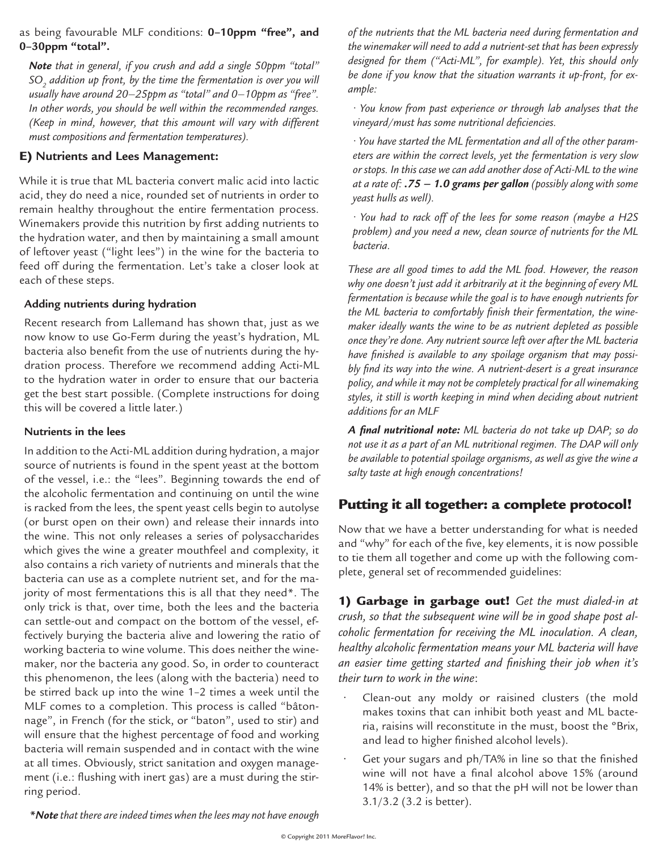#### as being favourable MLF conditions: **0–10ppm "free", and 0–30ppm "total".**

*Note that in general, if you crush and add a single 50ppm "total" SO2 addition up front, by the time the fermentation is over you will usually have around 20–25ppm as "total" and 0–10ppm as "free". In other words, you should be well within the recommended ranges. (Keep in mind, however, that this amount will vary with different must compositions and fermentation temperatures).*

### E) **Nutrients and Lees Management:**

While it is true that ML bacteria convert malic acid into lactic acid, they do need a nice, rounded set of nutrients in order to remain healthy throughout the entire fermentation process. Winemakers provide this nutrition by first adding nutrients to the hydration water, and then by maintaining a small amount of leftover yeast ("light lees") in the wine for the bacteria to feed off during the fermentation. Let's take a closer look at each of these steps.

## **Adding nutrients during hydration**

Recent research from Lallemand has shown that, just as we now know to use Go-Ferm during the yeast's hydration, ML bacteria also benefit from the use of nutrients during the hydration process. Therefore we recommend adding Acti-ML to the hydration water in order to ensure that our bacteria get the best start possible. (Complete instructions for doing this will be covered a little later.)

### **Nutrients in the lees**

In addition to the Acti-ML addition during hydration, a major source of nutrients is found in the spent yeast at the bottom of the vessel, i.e.: the "lees". Beginning towards the end of the alcoholic fermentation and continuing on until the wine is racked from the lees, the spent yeast cells begin to autolyse (or burst open on their own) and release their innards into the wine. This not only releases a series of polysaccharides which gives the wine a greater mouthfeel and complexity, it also contains a rich variety of nutrients and minerals that the bacteria can use as a complete nutrient set, and for the majority of most fermentations this is all that they need\*. The only trick is that, over time, both the lees and the bacteria can settle-out and compact on the bottom of the vessel, effectively burying the bacteria alive and lowering the ratio of working bacteria to wine volume. This does neither the winemaker, nor the bacteria any good. So, in order to counteract this phenomenon, the lees (along with the bacteria) need to be stirred back up into the wine 1–2 times a week until the MLF comes to a completion. This process is called "bâtonnage", in French (for the stick, or "baton", used to stir) and will ensure that the highest percentage of food and working bacteria will remain suspended and in contact with the wine at all times. Obviously, strict sanitation and oxygen management (i.e.: flushing with inert gas) are a must during the stirring period.

*of the nutrients that the ML bacteria need during fermentation and the winemaker will need to add a nutrient-set that has been expressly designed for them ("Acti-ML", for example). Yet, this should only be done if you know that the situation warrants it up-front, for example:* 

*• You know from past experience or through lab analyses that the vineyard/must has some nutritional deficiencies.*

*• You have started the ML fermentation and all of the other parameters are within the correct levels, yet the fermentation is very slow or stops. In this case we can add another dose of Acti-ML to the wine at a rate of: .75 – 1.0 grams per gallon (possibly along with some yeast hulls as well).* 

*• You had to rack off of the lees for some reason (maybe a H2S problem) and you need a new, clean source of nutrients for the ML bacteria.*

*These are all good times to add the ML food. However, the reason why one doesn't just add it arbitrarily at it the beginning of every ML fermentation is because while the goal is to have enough nutrients for the ML bacteria to comfortably finish their fermentation, the winemaker ideally wants the wine to be as nutrient depleted as possible once they're done. Any nutrient source left over after the ML bacteria have finished is available to any spoilage organism that may possibly find its way into the wine. A nutrient-desert is a great insurance policy, and while it may not be completely practical for all winemaking styles, it still is worth keeping in mind when deciding about nutrient additions for an MLF*

*A final nutritional note: ML bacteria do not take up DAP; so do not use it as a part of an ML nutritional regimen. The DAP will only be available to potential spoilage organisms, as well as give the wine a salty taste at high enough concentrations!*

# Putting it all together: a complete protocol!

Now that we have a better understanding for what is needed and "why" for each of the five, key elements, it is now possible to tie them all together and come up with the following complete, general set of recommended guidelines:

1) Garbage in garbage out! *Get the must dialed-in at crush, so that the subsequent wine will be in good shape post alcoholic fermentation for receiving the ML inoculation. A clean, healthy alcoholic fermentation means your ML bacteria will have an easier time getting started and finishing their job when it's their turn to work in the wine*:

- Clean-out any moldy or raisined clusters (the mold makes toxins that can inhibit both yeast and ML bacteria, raisins will reconstitute in the must, boost the ºBrix, and lead to higher finished alcohol levels).
- Get your sugars and ph/TA% in line so that the finished wine will not have a final alcohol above 15% (around 14% is better), and so that the pH will not be lower than 3.1/3.2 (3.2 is better).

*\*Note that there are indeed times when the lees may not have enough*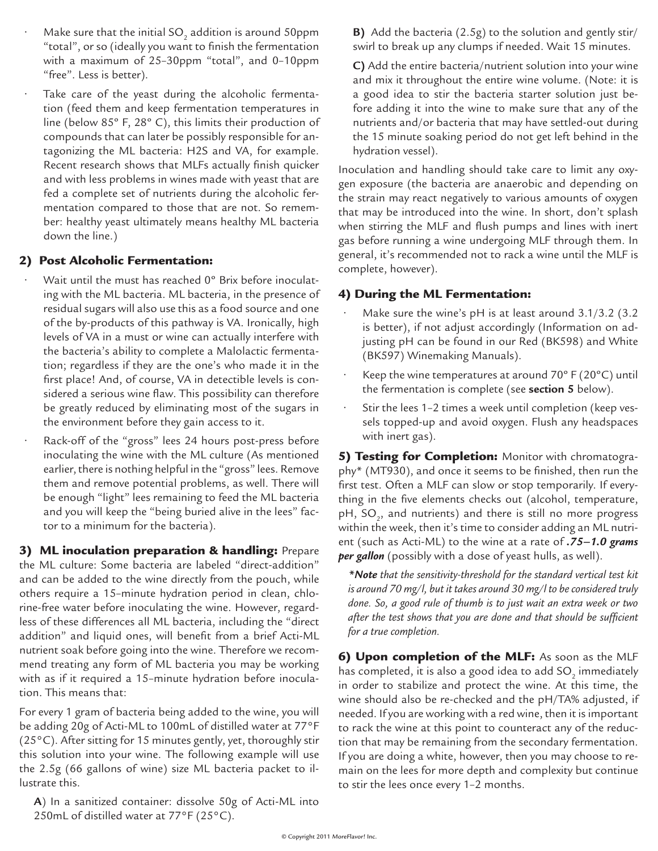- $\cdot$  Make sure that the initial SO<sub>2</sub> addition is around 50ppm "total", or so (ideally you want to finish the fermentation with a maximum of 25–30ppm "total", and 0–10ppm "free". Less is better).
	- Take care of the yeast during the alcoholic fermentation (feed them and keep fermentation temperatures in line (below 85º F, 28º C), this limits their production of compounds that can later be possibly responsible for antagonizing the ML bacteria: H2S and VA, for example. Recent research shows that MLFs actually finish quicker and with less problems in wines made with yeast that are fed a complete set of nutrients during the alcoholic fermentation compared to those that are not. So remember: healthy yeast ultimately means healthy ML bacteria down the line.)

#### 2) Post Alcoholic Fermentation:

- Wait until the must has reached 0° Brix before inoculating with the ML bacteria. ML bacteria, in the presence of residual sugars will also use this as a food source and one of the by-products of this pathway is VA. Ironically, high levels of VA in a must or wine can actually interfere with the bacteria's ability to complete a Malolactic fermentation; regardless if they are the one's who made it in the first place! And, of course, VA in detectible levels is considered a serious wine flaw. This possibility can therefore be greatly reduced by eliminating most of the sugars in the environment before they gain access to it.
- Rack-off of the "gross" lees 24 hours post-press before inoculating the wine with the ML culture (As mentioned earlier, there is nothing helpful in the "gross" lees. Remove them and remove potential problems, as well. There will be enough "light" lees remaining to feed the ML bacteria and you will keep the "being buried alive in the lees" factor to a minimum for the bacteria).

3) ML inoculation preparation & handling: Prepare the ML culture: Some bacteria are labeled "direct-addition" and can be added to the wine directly from the pouch, while others require a 15–minute hydration period in clean, chlorine-free water before inoculating the wine. However, regardless of these differences all ML bacteria, including the "direct addition" and liquid ones, will benefit from a brief Acti-ML nutrient soak before going into the wine. Therefore we recommend treating any form of ML bacteria you may be working with as if it required a 15–minute hydration before inoculation. This means that:

For every 1 gram of bacteria being added to the wine, you will be adding 20g of Acti-ML to 100mL of distilled water at 77°F (25°C). After sitting for 15 minutes gently, yet, thoroughly stir this solution into your wine. The following example will use the 2.5g (66 gallons of wine) size ML bacteria packet to illustrate this.

**A**) In a sanitized container: dissolve 50g of Acti-ML into 250mL of distilled water at 77°F (25°C).

**B)** Add the bacteria (2.5g) to the solution and gently stir/ swirl to break up any clumps if needed. Wait 15 minutes.

**C)** Add the entire bacteria/nutrient solution into your wine and mix it throughout the entire wine volume. (Note: it is a good idea to stir the bacteria starter solution just before adding it into the wine to make sure that any of the nutrients and/or bacteria that may have settled-out during the 15 minute soaking period do not get left behind in the hydration vessel).

Inoculation and handling should take care to limit any oxygen exposure (the bacteria are anaerobic and depending on the strain may react negatively to various amounts of oxygen that may be introduced into the wine. In short, don't splash when stirring the MLF and flush pumps and lines with inert gas before running a wine undergoing MLF through them. In general, it's recommended not to rack a wine until the MLF is complete, however).

#### 4) During the ML Fermentation:

- Make sure the wine's pH is at least around  $3.1/3.2$  (3.2) is better), if not adjust accordingly (Information on adjusting pH can be found in our Red (BK598) and White (BK597) Winemaking Manuals).
- Keep the wine temperatures at around  $70^{\circ}$  F (20 $^{\circ}$ C) until the fermentation is complete (see **section 5** below).
- Stir the lees 1–2 times a week until completion (keep vessels topped-up and avoid oxygen. Flush any headspaces with inert gas).

5) Testing for Completion: Monitor with chromatography\* (MT930), and once it seems to be finished, then run the first test. Often a MLF can slow or stop temporarily. If everything in the five elements checks out (alcohol, temperature, pH, SO $_2$ , and nutrients) and there is still no more progress within the week, then it's time to consider adding an ML nutrient (such as Acti-ML) to the wine at a rate of *.75–1.0 grams per gallon* (possibly with a dose of yeast hulls, as well).

*\*Note that the sensitivity-threshold for the standard vertical test kit is around 70 mg/l, but it takes around 30 mg/l to be considered truly done. So, a good rule of thumb is to just wait an extra week or two after the test shows that you are done and that should be sufficient for a true completion.*

**6) Upon completion of the MLF:** As soon as the MLF has completed, it is also a good idea to add SO $_{\textrm{\tiny{2}}}$  immediately in order to stabilize and protect the wine. At this time, the wine should also be re-checked and the pH/TA% adjusted, if needed. If you are working with a red wine, then it is important to rack the wine at this point to counteract any of the reduction that may be remaining from the secondary fermentation. If you are doing a white, however, then you may choose to remain on the lees for more depth and complexity but continue to stir the lees once every 1–2 months.